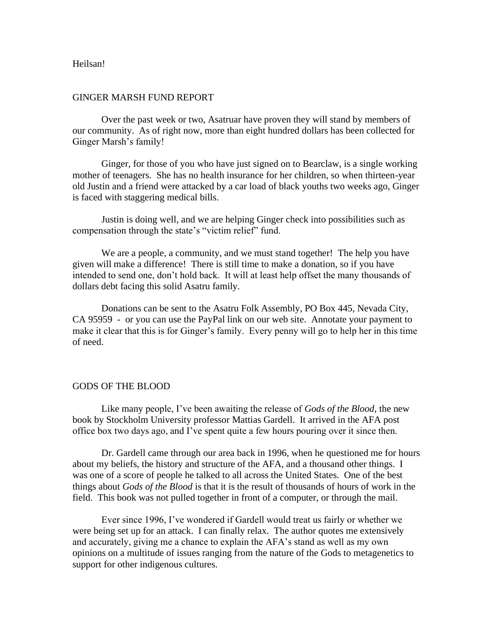## Heilsan!

## GINGER MARSH FUND REPORT

Over the past week or two, Asatruar have proven they will stand by members of our community. As of right now, more than eight hundred dollars has been collected for Ginger Marsh's family!

Ginger, for those of you who have just signed on to Bearclaw, is a single working mother of teenagers. She has no health insurance for her children, so when thirteen-year old Justin and a friend were attacked by a car load of black youths two weeks ago, Ginger is faced with staggering medical bills.

Justin is doing well, and we are helping Ginger check into possibilities such as compensation through the state's "victim relief" fund.

We are a people, a community, and we must stand together! The help you have given will make a difference! There is still time to make a donation, so if you have intended to send one, don't hold back. It will at least help offset the many thousands of dollars debt facing this solid Asatru family.

Donations can be sent to the Asatru Folk Assembly, PO Box 445, Nevada City, CA 95959 - or you can use the PayPal link on our web site. Annotate your payment to make it clear that this is for Ginger's family. Every penny will go to help her in this time of need.

## GODS OF THE BLOOD

Like many people, I've been awaiting the release of *Gods of the Blood*, the new book by Stockholm University professor Mattias Gardell. It arrived in the AFA post office box two days ago, and I've spent quite a few hours pouring over it since then.

Dr. Gardell came through our area back in 1996, when he questioned me for hours about my beliefs, the history and structure of the AFA, and a thousand other things. I was one of a score of people he talked to all across the United States. One of the best things about *Gods of the Blood* is that it is the result of thousands of hours of work in the field. This book was not pulled together in front of a computer, or through the mail.

Ever since 1996, I've wondered if Gardell would treat us fairly or whether we were being set up for an attack. I can finally relax. The author quotes me extensively and accurately, giving me a chance to explain the AFA's stand as well as my own opinions on a multitude of issues ranging from the nature of the Gods to metagenetics to support for other indigenous cultures.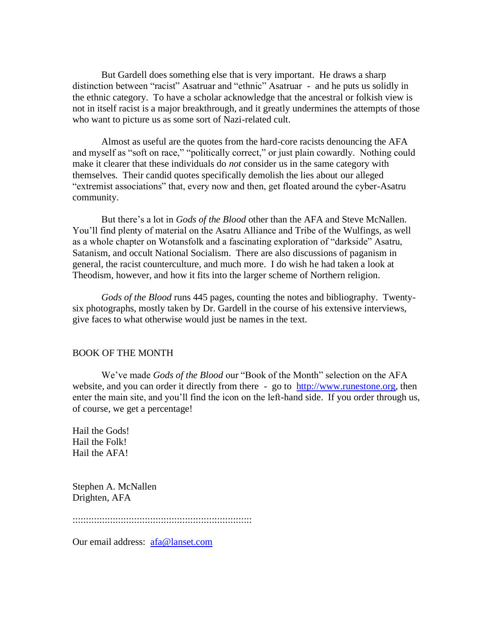But Gardell does something else that is very important. He draws a sharp distinction between "racist" Asatruar and "ethnic" Asatruar - and he puts us solidly in the ethnic category. To have a scholar acknowledge that the ancestral or folkish view is not in itself racist is a major breakthrough, and it greatly undermines the attempts of those who want to picture us as some sort of Nazi-related cult.

Almost as useful are the quotes from the hard-core racists denouncing the AFA and myself as "soft on race," "politically correct," or just plain cowardly. Nothing could make it clearer that these individuals do *not* consider us in the same category with themselves. Their candid quotes specifically demolish the lies about our alleged "extremist associations" that, every now and then, get floated around the cyber-Asatru community.

But there's a lot in *Gods of the Blood* other than the AFA and Steve McNallen. You'll find plenty of material on the Asatru Alliance and Tribe of the Wulfings, as well as a whole chapter on Wotansfolk and a fascinating exploration of "darkside" Asatru, Satanism, and occult National Socialism. There are also discussions of paganism in general, the racist counterculture, and much more. I do wish he had taken a look at Theodism, however, and how it fits into the larger scheme of Northern religion.

*Gods of the Blood* runs 445 pages, counting the notes and bibliography. Twentysix photographs, mostly taken by Dr. Gardell in the course of his extensive interviews, give faces to what otherwise would just be names in the text.

## BOOK OF THE MONTH

We've made *Gods of the Blood* our "Book of the Month" selection on the AFA website, and you can order it directly from there - go to [http://www.runestone.org,](http://www.runestone.org/) then enter the main site, and you'll find the icon on the left-hand side. If you order through us, of course, we get a percentage!

Hail the Gods! Hail the Folk! Hail the AFA!

Stephen A. McNallen Drighten, AFA

:::::::::::::::::::::::::::::::::::::::::::::::::::::::::::::::::::

Our email address: [afa@lanset.com](mailto:afa@lanset.com)